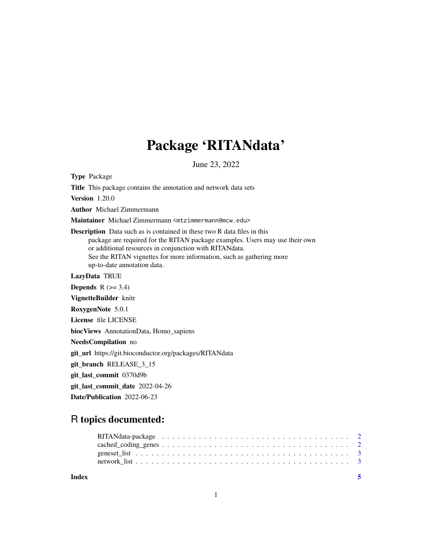# Package 'RITANdata'

June 23, 2022

Type Package Title This package contains the annotation and network data sets Version 1.20.0 Author Michael Zimmermann Maintainer Michael Zimmermann <mtzimmermann@mcw.edu> Description Data such as is contained in these two R data files in this package are required for the RITAN package examples. Users may use their own or additional resources in conjunction with RITANdata. See the RITAN vignettes for more information, such as gathering more up-to-date annotation data. LazyData TRUE Depends  $R$  ( $>= 3.4$ ) VignetteBuilder knitr RoxygenNote 5.0.1 License file LICENSE biocViews AnnotationData, Homo\_sapiens NeedsCompilation no git\_url https://git.bioconductor.org/packages/RITANdata git\_branch RELEASE\_3\_15 git\_last\_commit 0370d9b git\_last\_commit\_date 2022-04-26 Date/Publication 2022-06-23

# R topics documented:

| Index |  |  |  |  |  |  |  |  |  |  |  |  |  |  |  |  | - 5 |
|-------|--|--|--|--|--|--|--|--|--|--|--|--|--|--|--|--|-----|
|       |  |  |  |  |  |  |  |  |  |  |  |  |  |  |  |  |     |
|       |  |  |  |  |  |  |  |  |  |  |  |  |  |  |  |  |     |

1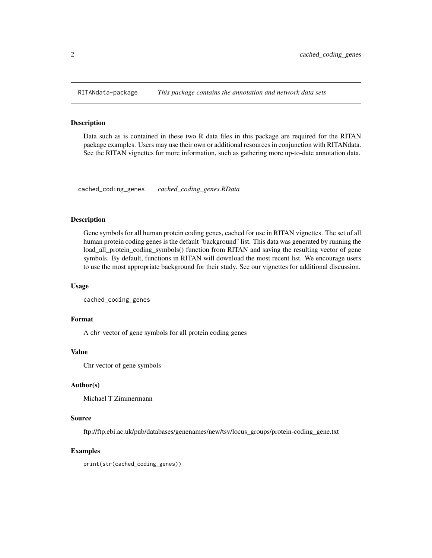<span id="page-1-0"></span>

#### Description

Data such as is contained in these two R data files in this package are required for the RITAN package examples. Users may use their own or additional resources in conjunction with RITANdata. See the RITAN vignettes for more information, such as gathering more up-to-date annotation data.

cached\_coding\_genes *cached\_coding\_genes.RData*

## Description

Gene symbols for all human protein coding genes, cached for use in RITAN vignettes. The set of all human protein coding genes is the default "background" list. This data was generated by running the load\_all\_protein\_coding\_symbols() function from RITAN and saving the resulting vector of gene symbols. By default, functions in RITAN will download the most recent list. We encourage users to use the most appropriate background for their study. See our vignettes for additional discussion.

#### Usage

```
cached_coding_genes
```
# Format

A chr vector of gene symbols for all protein coding genes

#### Value

Chr vector of gene symbols

#### Author(s)

Michael T Zimmermann

#### Source

ftp://ftp.ebi.ac.uk/pub/databases/genenames/new/tsv/locus\_groups/protein-coding\_gene.txt

#### Examples

print(str(cached\_coding\_genes))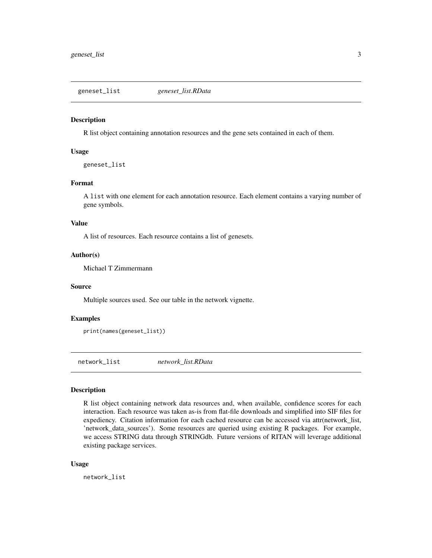<span id="page-2-0"></span>geneset\_list *geneset\_list.RData*

# Description

R list object containing annotation resources and the gene sets contained in each of them.

#### Usage

geneset\_list

# Format

A list with one element for each annotation resource. Each element contains a varying number of gene symbols.

#### Value

A list of resources. Each resource contains a list of genesets.

# Author(s)

Michael T Zimmermann

#### Source

Multiple sources used. See our table in the network vignette.

# Examples

```
print(names(geneset_list))
```
network\_list *network\_list.RData*

# Description

R list object containing network data resources and, when available, confidence scores for each interaction. Each resource was taken as-is from flat-file downloads and simplified into SIF files for expediency. Citation information for each cached resource can be accessed via attr(network\_list, 'network\_data\_sources'). Some resources are queried using existing R packages. For example, we access STRING data through STRINGdb. Future versions of RITAN will leverage additional existing package services.

#### Usage

network\_list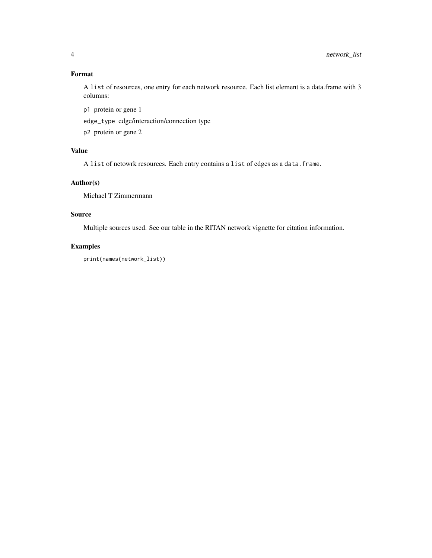# Format

A list of resources, one entry for each network resource. Each list element is a data.frame with 3 columns:

p1 protein or gene 1

edge\_type edge/interaction/connection type

p2 protein or gene 2

# Value

A list of netowrk resources. Each entry contains a list of edges as a data.frame.

# Author(s)

Michael T Zimmermann

# Source

Multiple sources used. See our table in the RITAN network vignette for citation information.

# Examples

print(names(network\_list))